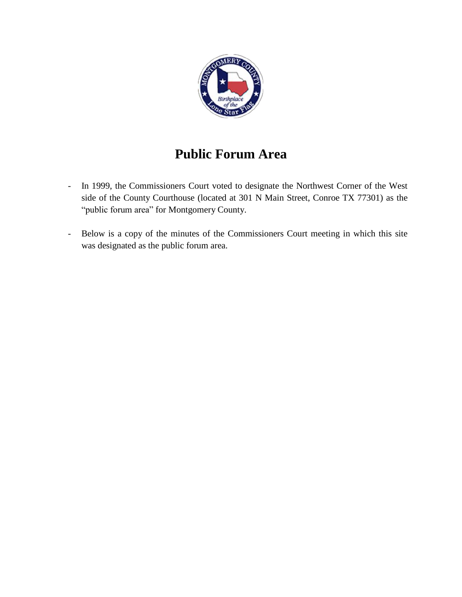

# **Public Forum Area**

- In 1999, the Commissioners Court voted to designate the Northwest Corner of the West side of the County Courthouse (located at 301 N Main Street, Conroe TX 77301) as the "public forum area" for Montgomery County.
- Below is a copy of the minutes of the Commissioners Court meeting in which this site was designated as the public forum area.